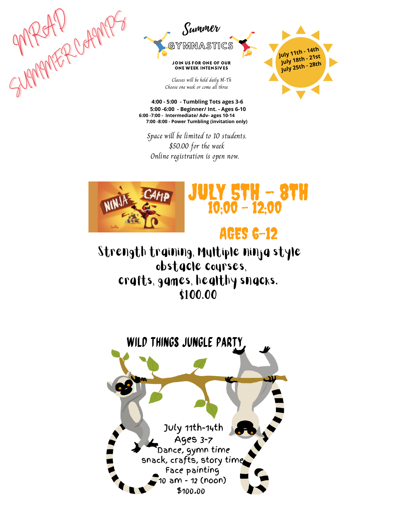



Classes will be held daily M-Th Choose one week or come all three



**4:00 - 5:00 - Tumbling Tots ages 3-6 5:00 -6:00 - Beginner/ Int. - Ages 6-10 6:00 -7:00 - Intermediate/ Adv- ages 10-14 7:00 -8:00 - Power Tumbling (invitation only)** 

Space will be limited to 10 students. \$50.00 for the week Online registration is open now.



## **JULY 5TH - 8TH**  $10.00 - 12.00$

## **AGES 6-12**

Strength training, Multiple ninja style obstacle courses, crafts, games, healthy snacks. \$100.00